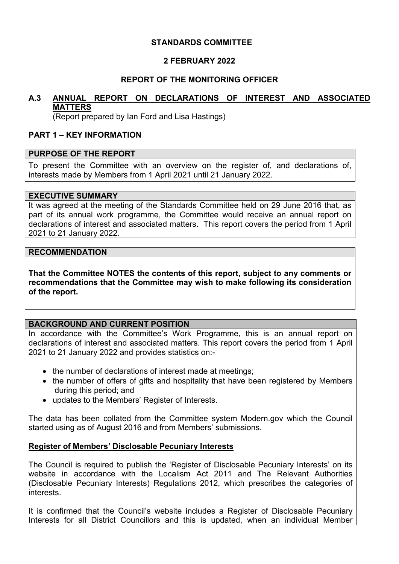## **STANDARDS COMMITTEE**

## **2 FEBRUARY 2022**

## **REPORT OF THE MONITORING OFFICER**

# **A.3 ANNUAL REPORT ON DECLARATIONS OF INTEREST AND ASSOCIATED MATTERS**

(Report prepared by Ian Ford and Lisa Hastings)

### **PART 1 – KEY INFORMATION**

### **PURPOSE OF THE REPORT**

To present the Committee with an overview on the register of, and declarations of, interests made by Members from 1 April 2021 until 21 January 2022.

### **EXECUTIVE SUMMARY**

It was agreed at the meeting of the Standards Committee held on 29 June 2016 that, as part of its annual work programme, the Committee would receive an annual report on declarations of interest and associated matters. This report covers the period from 1 April 2021 to 21 January 2022.

#### **RECOMMENDATION**

**That the Committee NOTES the contents of this report, subject to any comments or recommendations that the Committee may wish to make following its consideration of the report.** 

### **BACKGROUND AND CURRENT POSITION**

In accordance with the Committee's Work Programme, this is an annual report on declarations of interest and associated matters. This report covers the period from 1 April 2021 to 21 January 2022 and provides statistics on:-

- the number of declarations of interest made at meetings;
- the number of offers of gifts and hospitality that have been registered by Members during this period; and
- updates to the Members' Register of Interests.

The data has been collated from the Committee system Modern.gov which the Council started using as of August 2016 and from Members' submissions.

### **Register of Members' Disclosable Pecuniary Interests**

The Council is required to publish the 'Register of Disclosable Pecuniary Interests' on its website in accordance with the Localism Act 2011 and The Relevant Authorities (Disclosable Pecuniary Interests) Regulations 2012, which prescribes the categories of interests.

It is confirmed that the Council's website includes a Register of Disclosable Pecuniary Interests for all District Councillors and this is updated, when an individual Member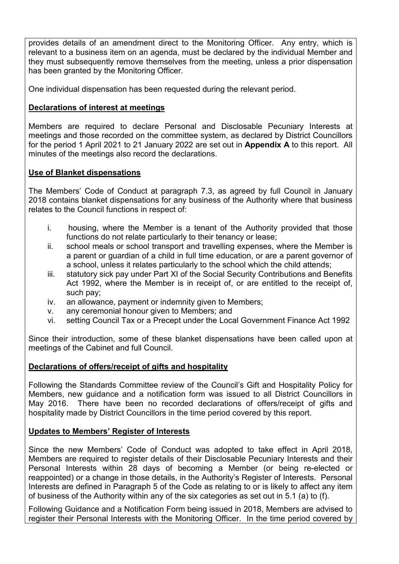provides details of an amendment direct to the Monitoring Officer. Any entry, which is relevant to a business item on an agenda, must be declared by the individual Member and they must subsequently remove themselves from the meeting, unless a prior dispensation has been granted by the Monitoring Officer.

One individual dispensation has been requested during the relevant period.

# **Declarations of interest at meetings**

Members are required to declare Personal and Disclosable Pecuniary Interests at meetings and those recorded on the committee system, as declared by District Councillors for the period 1 April 2021 to 21 January 2022 are set out in **Appendix A** to this report. All minutes of the meetings also record the declarations.

# **Use of Blanket dispensations**

The Members' Code of Conduct at paragraph 7.3, as agreed by full Council in January 2018 contains blanket dispensations for any business of the Authority where that business relates to the Council functions in respect of:

- i. housing, where the Member is a tenant of the Authority provided that those functions do not relate particularly to their tenancy or lease;
- ii. school meals or school transport and travelling expenses, where the Member is a parent or guardian of a child in full time education, or are a parent governor of a school, unless it relates particularly to the school which the child attends;
- iii. statutory sick pay under Part XI of the Social Security Contributions and Benefits Act 1992, where the Member is in receipt of, or are entitled to the receipt of, such pay;
- iv. an allowance, payment or indemnity given to Members;
- v. any ceremonial honour given to Members; and
- vi. setting Council Tax or a Precept under the Local Government Finance Act 1992

Since their introduction, some of these blanket dispensations have been called upon at meetings of the Cabinet and full Council.

# **Declarations of offers/receipt of gifts and hospitality**

Following the Standards Committee review of the Council's Gift and Hospitality Policy for Members, new guidance and a notification form was issued to all District Councillors in May 2016. There have been no recorded declarations of offers/receipt of gifts and hospitality made by District Councillors in the time period covered by this report.

# **Updates to Members' Register of Interests**

Since the new Members' Code of Conduct was adopted to take effect in April 2018, Members are required to register details of their Disclosable Pecuniary Interests and their Personal Interests within 28 days of becoming a Member (or being re-elected or reappointed) or a change in those details, in the Authority's Register of Interests. Personal Interests are defined in Paragraph 5 of the Code as relating to or is likely to affect any item of business of the Authority within any of the six categories as set out in 5.1 (a) to (f).

Following Guidance and a Notification Form being issued in 2018, Members are advised to register their Personal Interests with the Monitoring Officer. In the time period covered by